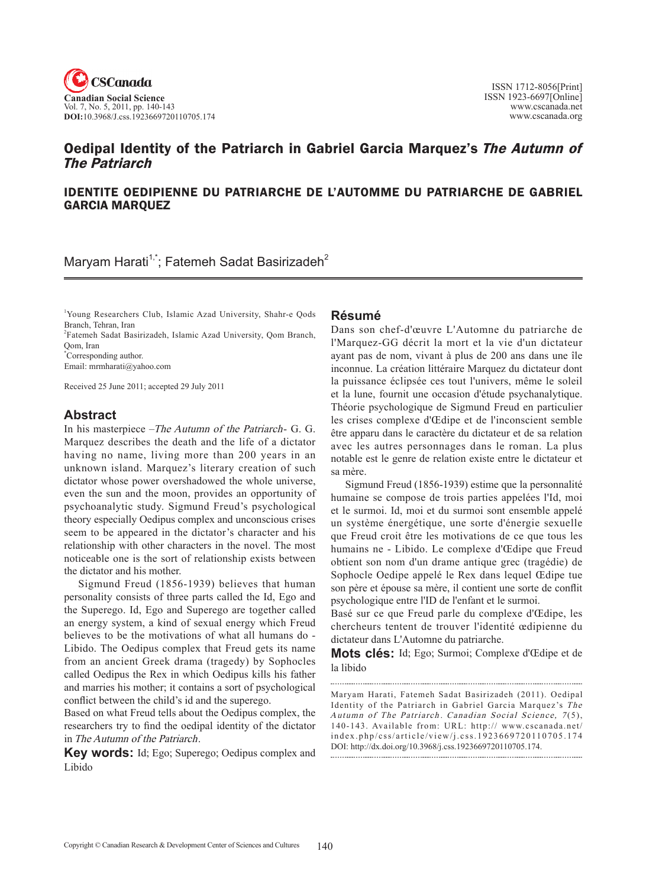

# Oedipal Identity of the Patriarch in Gabriel Garcia Marquez's The Autumn of The Patriarch

## IDENTITE OEDIPIENNE DU PATRIARCHE DE L'AUTOMME DU PATRIARCHE DE GABRIEL GARCIA MARQUEZ

Maryam Harati<sup>1,\*</sup>; Fatemeh Sadat Basirizadeh<sup>2</sup>

1 Young Researchers Club, Islamic Azad University, Shahr-e Qods Branch, Tehran, Iran

2 Fatemeh Sadat Basirizadeh, Islamic Azad University, Qom Branch, Qom, Iran

\* Corresponding author.

Email: mrmharati@yahoo.com

Received 25 June 2011; accepted 29 July 2011

## **Abstract**

In his masterpiece –The Autumn of the Patriarch- G. G. Marquez describes the death and the life of a dictator having no name, living more than 200 years in an unknown island. Marquez's literary creation of such dictator whose power overshadowed the whole universe, even the sun and the moon, provides an opportunity of psychoanalytic study. Sigmund Freud's psychological theory especially Oedipus complex and unconscious crises seem to be appeared in the dictator's character and his relationship with other characters in the novel. The most noticeable one is the sort of relationship exists between the dictator and his mother.

Sigmund Freud (1856-1939) believes that human personality consists of three parts called the Id, Ego and the Superego. Id, Ego and Superego are together called an energy system, a kind of sexual energy which Freud believes to be the motivations of what all humans do - Libido. The Oedipus complex that Freud gets its name from an ancient Greek drama (tragedy) by Sophocles called Oedipus the Rex in which Oedipus kills his father and marries his mother; it contains a sort of psychological conflict between the child's id and the superego.

Based on what Freud tells about the Oedipus complex, the researchers try to find the oedipal identity of the dictator in The Autumn of the Patriarch.

**Key words:** Id; Ego; Superego; Oedipus complex and Libido

### **Résumé**

Dans son chef-d'œuvre L'Automne du patriarche de l'Marquez-GG décrit la mort et la vie d'un dictateur ayant pas de nom, vivant à plus de 200 ans dans une île inconnue. La création littéraire Marquez du dictateur dont la puissance éclipsée ces tout l'univers, même le soleil et la lune, fournit une occasion d'étude psychanalytique. Théorie psychologique de Sigmund Freud en particulier les crises complexe d'Œdipe et de l'inconscient semble être apparu dans le caractère du dictateur et de sa relation avec les autres personnages dans le roman. La plus notable est le genre de relation existe entre le dictateur et sa mère.

Sigmund Freud (1856-1939) estime que la personnalité humaine se compose de trois parties appelées l'Id, moi et le surmoi. Id, moi et du surmoi sont ensemble appelé un système énergétique, une sorte d'énergie sexuelle que Freud croit être les motivations de ce que tous les humains ne - Libido. Le complexe d'Œdipe que Freud obtient son nom d'un drame antique grec (tragédie) de Sophocle Oedipe appelé le Rex dans lequel Œdipe tue son père et épouse sa mère, il contient une sorte de conflit psychologique entre l'ID de l'enfant et le surmoi.

Basé sur ce que Freud parle du complexe d'Œdipe, les chercheurs tentent de trouver l'identité œdipienne du dictateur dans L'Automne du patriarche.

**Mots clés:** Id; Ego; Surmoi; complexe d'Œdipe et de la libido

Maryam Harati, Fatemeh Sadat Basirizadeh (2011). Oedipal Identity of the Patriarch in Gabriel Garcia Marquez's The Autumn of The Patriarch. Canadian Social Science, 7(5), 140-143. Available from: URL: http:// www.cscanada.net/ index.php/css/article/view/j.css.1923669720110705.174 DOI: http://dx.doi.org/10.3968/j.css.1923669720110705.174.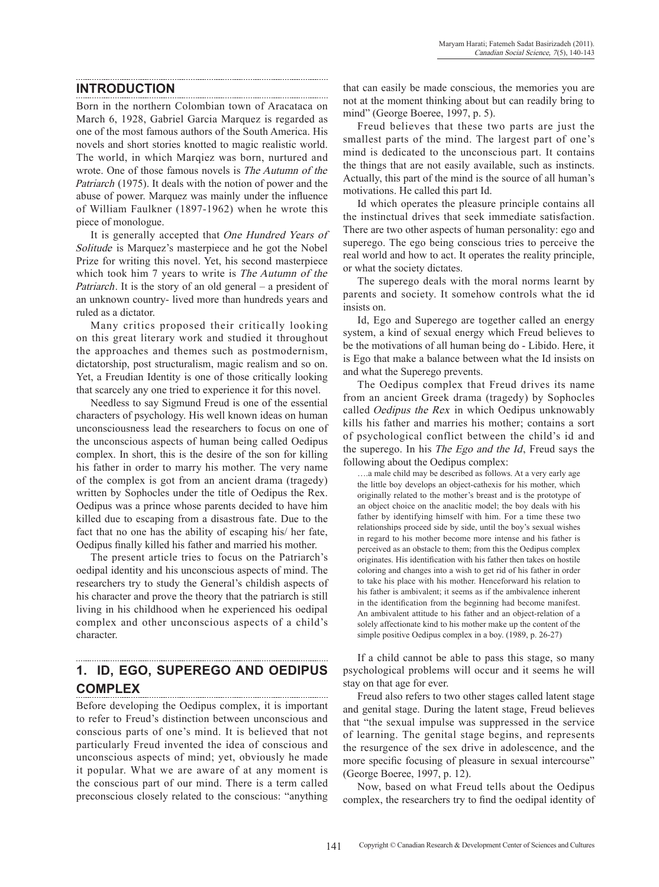## **INTRODUCTION**

Born in the northern Colombian town of Aracataca on March 6, 1928, Gabriel Garcia Marquez is regarded as one of the most famous authors of the South America. His novels and short stories knotted to magic realistic world. The world, in which Marqiez was born, nurtured and wrote. One of those famous novels is The Autumn of the Patriarch (1975). It deals with the notion of power and the abuse of power. Marquez was mainly under the influence of William Faulkner (1897-1962) when he wrote this piece of monologue.

It is generally accepted that One Hundred Years of Solitude is Marquez's masterpiece and he got the Nobel Prize for writing this novel. Yet, his second masterpiece which took him 7 years to write is The Autumn of the Patriarch. It is the story of an old general – a president of an unknown country- lived more than hundreds years and ruled as a dictator.

Many critics proposed their critically looking on this great literary work and studied it throughout the approaches and themes such as postmodernism, dictatorship, post structuralism, magic realism and so on. Yet, a Freudian Identity is one of those critically looking that scarcely any one tried to experience it for this novel.

Needless to say Sigmund Freud is one of the essential characters of psychology. His well known ideas on human unconsciousness lead the researchers to focus on one of the unconscious aspects of human being called Oedipus complex. In short, this is the desire of the son for killing his father in order to marry his mother. The very name of the complex is got from an ancient drama (tragedy) written by Sophocles under the title of Oedipus the Rex. Oedipus was a prince whose parents decided to have him killed due to escaping from a disastrous fate. Due to the fact that no one has the ability of escaping his/ her fate, Oedipus finally killed his father and married his mother.

The present article tries to focus on the Patriarch's oedipal identity and his unconscious aspects of mind. The researchers try to study the General's childish aspects of his character and prove the theory that the patriarch is still living in his childhood when he experienced his oedipal complex and other unconscious aspects of a child's character.

### **1. Id, Ego, Superego and Oedipus complex**

Before developing the Oedipus complex, it is important to refer to Freud's distinction between unconscious and conscious parts of one's mind. It is believed that not particularly Freud invented the idea of conscious and unconscious aspects of mind; yet, obviously he made it popular. What we are aware of at any moment is the conscious part of our mind. There is a term called preconscious closely related to the conscious: "anything

that can easily be made conscious, the memories you are not at the moment thinking about but can readily bring to mind" (George Boeree, 1997, p. 5).

Freud believes that these two parts are just the smallest parts of the mind. The largest part of one's mind is dedicated to the unconscious part. It contains the things that are not easily available, such as instincts. Actually, this part of the mind is the source of all human's motivations. He called this part Id.

Id which operates the pleasure principle contains all the instinctual drives that seek immediate satisfaction. There are two other aspects of human personality: ego and superego. The ego being conscious tries to perceive the real world and how to act. It operates the reality principle, or what the society dictates.

The superego deals with the moral norms learnt by parents and society. It somehow controls what the id insists on.

Id, Ego and Superego are together called an energy system, a kind of sexual energy which Freud believes to be the motivations of all human being do - Libido. Here, it is Ego that make a balance between what the Id insists on and what the Superego prevents.

The Oedipus complex that Freud drives its name from an ancient Greek drama (tragedy) by Sophocles called *Oedipus the Rex* in which Oedipus unknowably kills his father and marries his mother; contains a sort of psychological conflict between the child's id and the superego. In his The Ego and the Id, Freud says the following about the Oedipus complex:

….a male child may be described as follows. At a very early age the little boy develops an object-cathexis for his mother, which originally related to the mother's breast and is the prototype of an object choice on the anaclitic model; the boy deals with his father by identifying himself with him. For a time these two relationships proceed side by side, until the boy's sexual wishes in regard to his mother become more intense and his father is perceived as an obstacle to them; from this the Oedipus complex originates. His identification with his father then takes on hostile coloring and changes into a wish to get rid of his father in order to take his place with his mother. Henceforward his relation to his father is ambivalent; it seems as if the ambivalence inherent in the identification from the beginning had become manifest. An ambivalent attitude to his father and an object-relation of a solely affectionate kind to his mother make up the content of the simple positive Oedipus complex in a boy. (1989, p. 26-27)

If a child cannot be able to pass this stage, so many psychological problems will occur and it seems he will stay on that age for ever.

Freud also refers to two other stages called latent stage and genital stage. During the latent stage, Freud believes that "the sexual impulse was suppressed in the service of learning. The genital stage begins, and represents the resurgence of the sex drive in adolescence, and the more specific focusing of pleasure in sexual intercourse" (George Boeree, 1997, p. 12).

Now, based on what Freud tells about the Oedipus complex, the researchers try to find the oedipal identity of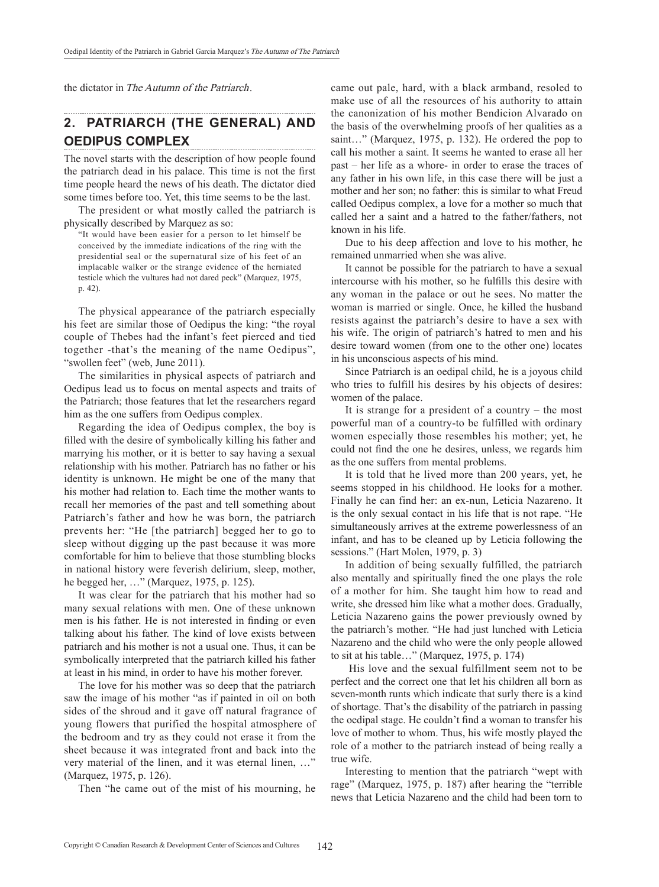the dictator in The Autumn of the Patriarch.

#### **2. Patriarch (the General) and Oedipus complex**

The novel starts with the description of how people found the patriarch dead in his palace. This time is not the first time people heard the news of his death. The dictator died some times before too. Yet, this time seems to be the last.

The president or what mostly called the patriarch is physically described by Marquez as so:

"It would have been easier for a person to let himself be conceived by the immediate indications of the ring with the presidential seal or the supernatural size of his feet of an implacable walker or the strange evidence of the herniated testicle which the vultures had not dared peck" (Marquez, 1975, p. 42).

The physical appearance of the patriarch especially his feet are similar those of Oedipus the king: "the royal couple of Thebes had the infant's feet pierced and tied together -that's the meaning of the name Oedipus", "swollen feet" (web, June 2011).

The similarities in physical aspects of patriarch and Oedipus lead us to focus on mental aspects and traits of the Patriarch; those features that let the researchers regard him as the one suffers from Oedipus complex.

Regarding the idea of Oedipus complex, the boy is filled with the desire of symbolically killing his father and marrying his mother, or it is better to say having a sexual relationship with his mother. Patriarch has no father or his identity is unknown. He might be one of the many that his mother had relation to. Each time the mother wants to recall her memories of the past and tell something about Patriarch's father and how he was born, the patriarch prevents her: "He [the patriarch] begged her to go to sleep without digging up the past because it was more comfortable for him to believe that those stumbling blocks in national history were feverish delirium, sleep, mother, he begged her, …" (Marquez, 1975, p. 125).

It was clear for the patriarch that his mother had so many sexual relations with men. One of these unknown men is his father. He is not interested in finding or even talking about his father. The kind of love exists between patriarch and his mother is not a usual one. Thus, it can be symbolically interpreted that the patriarch killed his father at least in his mind, in order to have his mother forever.

The love for his mother was so deep that the patriarch saw the image of his mother "as if painted in oil on both sides of the shroud and it gave off natural fragrance of young flowers that purified the hospital atmosphere of the bedroom and try as they could not erase it from the sheet because it was integrated front and back into the very material of the linen, and it was eternal linen, …" (Marquez, 1975, p. 126).

Then "he came out of the mist of his mourning, he

came out pale, hard, with a black armband, resoled to make use of all the resources of his authority to attain the canonization of his mother Bendicion Alvarado on the basis of the overwhelming proofs of her qualities as a saint…" (Marquez, 1975, p. 132). He ordered the pop to call his mother a saint. It seems he wanted to erase all her past – her life as a whore- in order to erase the traces of any father in his own life, in this case there will be just a mother and her son; no father: this is similar to what Freud called Oedipus complex, a love for a mother so much that called her a saint and a hatred to the father/fathers, not known in his life.

Due to his deep affection and love to his mother, he remained unmarried when she was alive.

It cannot be possible for the patriarch to have a sexual intercourse with his mother, so he fulfills this desire with any woman in the palace or out he sees. No matter the woman is married or single. Once, he killed the husband resists against the patriarch's desire to have a sex with his wife. The origin of patriarch's hatred to men and his desire toward women (from one to the other one) locates in his unconscious aspects of his mind.

Since Patriarch is an oedipal child, he is a joyous child who tries to fulfill his desires by his objects of desires: women of the palace.

It is strange for a president of a country – the most powerful man of a country-to be fulfilled with ordinary women especially those resembles his mother; yet, he could not find the one he desires, unless, we regards him as the one suffers from mental problems.

It is told that he lived more than 200 years, yet, he seems stopped in his childhood. He looks for a mother. Finally he can find her: an ex-nun, Leticia Nazareno. It is the only sexual contact in his life that is not rape. "He simultaneously arrives at the extreme powerlessness of an infant, and has to be cleaned up by Leticia following the sessions." (Hart Molen, 1979, p. 3)

In addition of being sexually fulfilled, the patriarch also mentally and spiritually fined the one plays the role of a mother for him. She taught him how to read and write, she dressed him like what a mother does. Gradually, Leticia Nazareno gains the power previously owned by the patriarch's mother. "He had just lunched with Leticia Nazareno and the child who were the only people allowed to sit at his table…" (Marquez, 1975, p. 174)

 His love and the sexual fulfillment seem not to be perfect and the correct one that let his children all born as seven-month runts which indicate that surly there is a kind of shortage. That's the disability of the patriarch in passing the oedipal stage. He couldn't find a woman to transfer his love of mother to whom. Thus, his wife mostly played the role of a mother to the patriarch instead of being really a true wife.

Interesting to mention that the patriarch "wept with rage" (Marquez, 1975, p. 187) after hearing the "terrible news that Leticia Nazareno and the child had been torn to